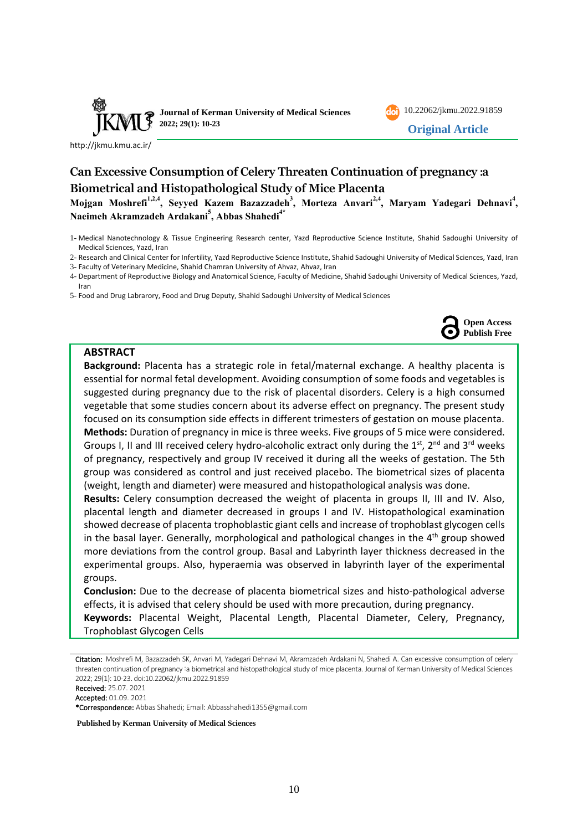

<http://jkmu.kmu.ac.ir/>



**Original Article**

# **Can Excessive Consumption of Celery Threaten Continuation of pregnancy :a Biometrical and Histopathological Study of Mice Placenta**

**Mojgan Moshrefi1,2,4, Seyyed Kazem Bazazzadeh<sup>3</sup> , Morteza Anvari2,4, Maryam Yadegari Dehnavi<sup>4</sup> , Naeimeh Akramzadeh Ardakani<sup>5</sup> , Abbas Shahedi4\***

- 2- Research and Clinical Center for Infertility, Yazd Reproductive Science Institute, Shahid Sadoughi University of Medical Sciences, Yazd, Iran
- 3- Faculty of Veterinary Medicine, Shahid Chamran University of Ahvaz, Ahvaz, Iran

4- Department of Reproductive Biology and Anatomical Science, Faculty of Medicine, Shahid Sadoughi University of Medical Sciences, Yazd, Iran

5- Food and Drug Labrarory, Food and Drug Deputy, Shahid Sadoughi University of Medical Sciences



### **ABSTRACT**

**Background:** Placenta has a strategic role in fetal/maternal exchange. A healthy placenta is essential for normal fetal development. Avoiding consumption of some foods and vegetables is suggested during pregnancy due to the risk of placental disorders. Celery is a high consumed vegetable that some studies concern about its adverse effect on pregnancy. The present study focused on its consumption side effects in different trimesters of gestation on mouse placenta. **Methods:** Duration of pregnancy in mice is three weeks. Five groups of 5 mice were considered. Groups I, II and III received celery hydro-alcoholic extract only during the  $1<sup>st</sup>$ ,  $2<sup>nd</sup>$  and  $3<sup>rd</sup>$  weeks of pregnancy, respectively and group IV received it during all the weeks of gestation. The 5th group was considered as control and just received placebo. The biometrical sizes of placenta (weight, length and diameter) were measured and histopathological analysis was done.

**Results:** Celery consumption decreased the weight of placenta in groups II, III and IV. Also, placental length and diameter decreased in groups I and IV. Histopathological examination showed decrease of placenta trophoblastic giant cells and increase of trophoblast glycogen cells in the basal layer. Generally, morphological and pathological changes in the  $4<sup>th</sup>$  group showed more deviations from the control group. Basal and Labyrinth layer thickness decreased in the experimental groups. Also, hyperaemia was observed in labyrinth layer of the experimental groups.

**Conclusion:** Due to the decrease of placenta biometrical sizes and histo-pathological adverse effects, it is advised that celery should be used with more precaution, during pregnancy. **Keywords:** Placental Weight, Placental Length, Placental Diameter, Celery, Pregnancy, Trophoblast Glycogen Cells

Citation: Moshrefi M, Bazazzadeh SK, Anvari M, Yadegari Dehnavi M, Akramzadeh Ardakani N, Shahedi A. Can excessive consumption of celery threaten continuation of pregnancy :a biometrical and histopathological study of mice placenta. Journal of Kerman University of Medical Sciences 2022; 29(1): 10-23. doi:10.22062/jkmu.2022.91859

Received: 25.07. 2021 Accepted: 01.09. 2021

\*Correspondence: Abbas Shahedi; Email: Abbasshahedi1355@gmail.com

**Published by Kerman University of Medical Sciences**

<sup>1-</sup> Medical Nanotechnology & Tissue Engineering Research center, Yazd Reproductive Science Institute, Shahid Sadoughi University of Medical Sciences, Yazd, Iran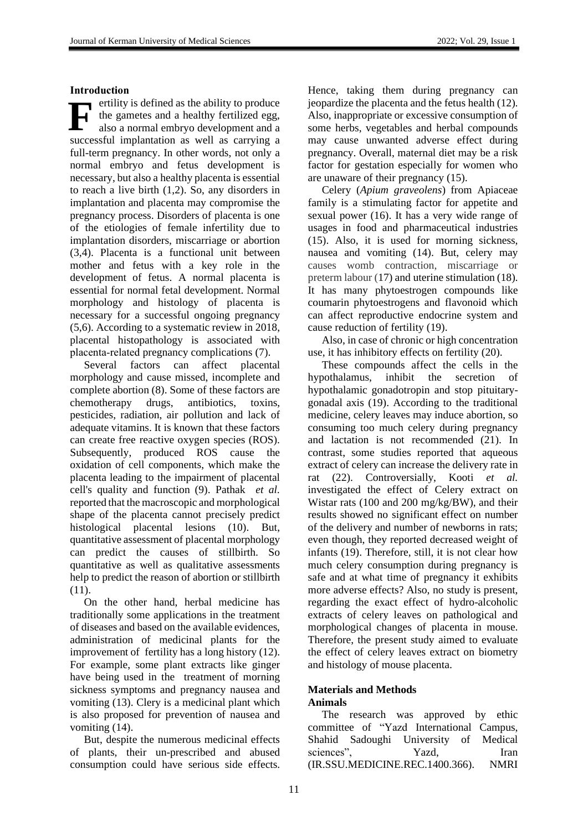**Introduction** ertility is defined as the ability to produce the gametes and a healthy fertilized egg, also a normal embryo development and a successful implantation as well as carrying a full-term pregnancy. In other words, not only a normal embryo and fetus development is necessary, but also a healthy placenta is essential to reach a live birth [\(1](#page-10-0)[,2\)](#page-10-1). So, any disorders in implantation and placenta may compromise the pregnancy process. Disorders of placenta is one of the etiologies of female infertility due to implantation disorders, miscarriage or abortion [\(3](#page-10-2)[,4\)](#page-10-3). Placenta is a functional unit between mother and fetus with a key role in the development of fetus. A normal placenta is essential for normal fetal development. Normal morphology and histology of placenta is necessary for a successful ongoing pregnancy [\(5](#page-10-4)[,6\)](#page-10-5). According to a systematic review in 2018, placental histopathology is associated with placenta‐related pregnancy complications [\(7\)](#page-10-6). **F**

Several factors can affect placental morphology and cause missed, incomplete and complete abortion [\(8\)](#page-10-7). Some of these factors are chemotherapy drugs, antibiotics, toxins, pesticides, radiation, air pollution and lack of adequate vitamins. It is known that these factors can create free reactive oxygen species (ROS). Subsequently, produced ROS cause the oxidation of cell components, which make the placenta leading to the impairment of placental cell's quality and function [\(9\)](#page-10-8). Pathak *et al.* reported that the macroscopic and morphological shape of the placenta cannot precisely predict histological placental lesions [\(10\)](#page-10-9). But, quantitative assessment of placental morphology can predict the causes of stillbirth. So quantitative as well as qualitative assessments help to predict the reason of abortion or stillbirth [\(11\)](#page-10-10).

On the other hand, herbal medicine has traditionally some applications in the treatment of diseases and based on the available evidences, administration of medicinal plants for the improvement of fertility has a long history [\(12\)](#page-10-11). For example, some plant extracts like ginger have being used in the treatment of morning sickness symptoms and pregnancy nausea and vomiting [\(13\)](#page-10-12). Clery is a medicinal plant which is also proposed for prevention of nausea and vomiting [\(14\)](#page-11-0).

But, despite the numerous medicinal effects of plants, their un-prescribed and abused consumption could have serious side effects.

Hence, taking them during pregnancy can jeopardize the placenta and the fetus health [\(12\)](#page-10-11). Also, inappropriate or excessive consumption of some herbs, vegetables and herbal compounds may cause unwanted adverse effect during pregnancy. Overall, maternal diet may be a risk factor for gestation especially for women who are unaware of their pregnancy [\(15\)](#page-11-1).

Celery (*Apium graveolens*) from Apiaceae family is a stimulating factor for appetite and sexual power [\(16\)](#page-11-2). It has a very wide range of usages in food and pharmaceutical industries [\(15\)](#page-11-1). Also, it is used for morning sickness, nausea and vomiting [\(14\)](#page-11-0). But, celery may causes womb contraction, miscarriage or preterm labour [\(17\)](#page-11-3) and uterine stimulation [\(18\)](#page-11-4). It has many phytoestrogen compounds like coumarin phytoestrogens and flavonoid which can affect reproductive endocrine system and cause reduction of fertility [\(19\)](#page-11-5).

Also, in case of chronic or high concentration use, it has inhibitory effects on fertility [\(20\)](#page-11-6).

These compounds affect the cells in the hypothalamus, inhibit the secretion of hypothalamic gonadotropin and stop pituitarygonadal axis [\(19\)](#page-11-5). According to the traditional medicine, celery leaves may induce abortion, so consuming too much celery during pregnancy and lactation is not recommended [\(21\)](#page-11-7). In contrast, some studies reported that aqueous extract of celery can increase the delivery rate in rat [\(22\)](#page-11-8). Controversially, Kooti *et al.* investigated the effect of Celery extract on Wistar rats (100 and 200 mg/kg/BW), and their results showed no significant effect on number of the delivery and number of newborns in rats; even though, they reported decreased weight of infants [\(19\)](#page-11-5). Therefore, still, it is not clear how much celery consumption during pregnancy is safe and at what time of pregnancy it exhibits more adverse effects? Also, no study is present, regarding the exact effect of hydro-alcoholic extracts of celery leaves on pathological and morphological changes of placenta in mouse. Therefore, the present study aimed to evaluate the effect of celery leaves extract on biometry and histology of mouse placenta.

## **Materials and Methods Animals**

The research was approved by ethic committee of "Yazd International Campus, Shahid Sadoughi University of Medical sciences", Yazd, Iran (IR.SSU.MEDICINE.REC.1400.366). NMRI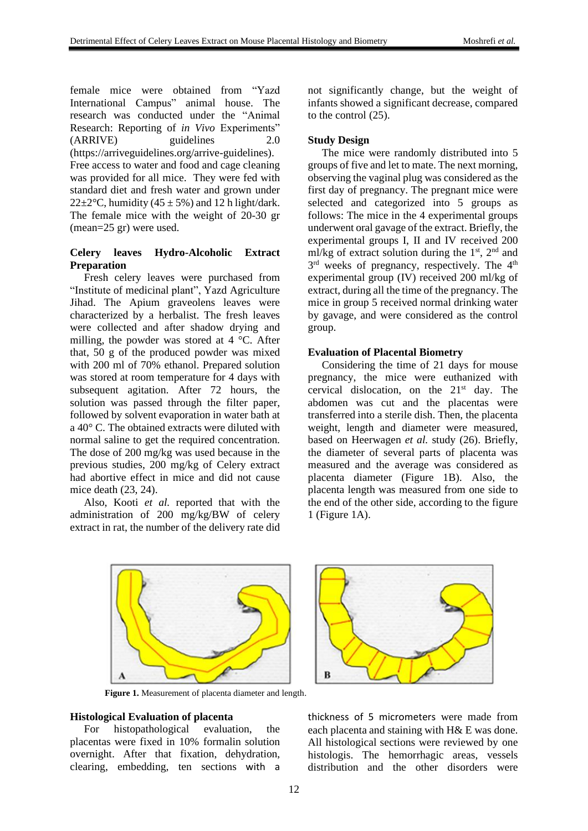female mice were obtained from "Yazd International Campus" animal house. The research was conducted under the "Animal Research: Reporting of *in Vivo* Experiments" (ARRIVE) guidelines 2.0 (https://arriveguidelines.org/arrive-guidelines). Free access to water and food and cage cleaning was provided for all mice. They were fed with standard diet and fresh water and grown under 22 $\pm$ 2°C, humidity (45  $\pm$  5%) and 12 h light/dark. The female mice with the weight of 20-30 gr (mean=25 gr) were used.

### **Celery leaves Hydro-Alcoholic Extract Preparation**

Fresh celery leaves were purchased from "Institute of medicinal plant", Yazd Agriculture Jihad. The Apium graveolens leaves were characterized by a herbalist. The fresh leaves were collected and after shadow drying and milling, the powder was stored at 4 °C. After that, 50 g of the produced powder was mixed with 200 ml of 70% ethanol. Prepared solution was stored at room temperature for 4 days with subsequent agitation. After 72 hours, the solution was passed through the filter paper, followed by solvent evaporation in water bath at a 40° C. The obtained extracts were diluted with normal saline to get the required concentration. The dose of 200 mg/kg was used because in the previous studies, 200 mg/kg of Celery extract had abortive effect in mice and did not cause mice death (23, 24).

Also, Kooti *et al.* reported that with the administration of 200 mg/kg/BW of celery extract in rat, the number of the delivery rate did not significantly change, but the weight of infants showed a significant decrease, compared to the control [\(25\)](#page-11-9).

### **Study Design**

The mice were randomly distributed into 5 groups of five and let to mate. The next morning, observing the vaginal plug was considered as the first day of pregnancy. The pregnant mice were selected and categorized into 5 groups as follows: The mice in the 4 experimental groups underwent oral gavage of the extract. Briefly, the experimental groups I, II and IV received 200 ml/kg of extract solution during the  $1<sup>st</sup>$ ,  $2<sup>nd</sup>$  and 3<sup>rd</sup> weeks of pregnancy, respectively. The 4<sup>th</sup> experimental group (IV) received 200 ml/kg of extract, during all the time of the pregnancy. The mice in group 5 received normal drinking water by gavage, and were considered as the control group.

### **Evaluation of Placental Biometry**

Considering the time of 21 days for mouse pregnancy, the mice were euthanized with cervical dislocation, on the 21st day. The abdomen was cut and the placentas were transferred into a sterile dish. Then, the placenta weight, length and diameter were measured, based on Heerwagen *et al.* study [\(26\)](#page-11-10). Briefly, the diameter of several parts of placenta was measured and the average was considered as placenta diameter (Figure 1B). Also, the placenta length was measured from one side to the end of the other side, according to the figure 1 (Figure 1A).



**Figure 1.** Measurement of placenta diameter and length.

#### **Histological Evaluation of placenta**

For histopathological evaluation, the placentas were fixed in 10% formalin solution overnight. After that fixation, dehydration, clearing, embedding, ten sections with a



thickness of 5 micrometers were made from each placenta and staining with H& E was done. All histological sections were reviewed by one histologis. The hemorrhagic areas, vessels distribution and the other disorders were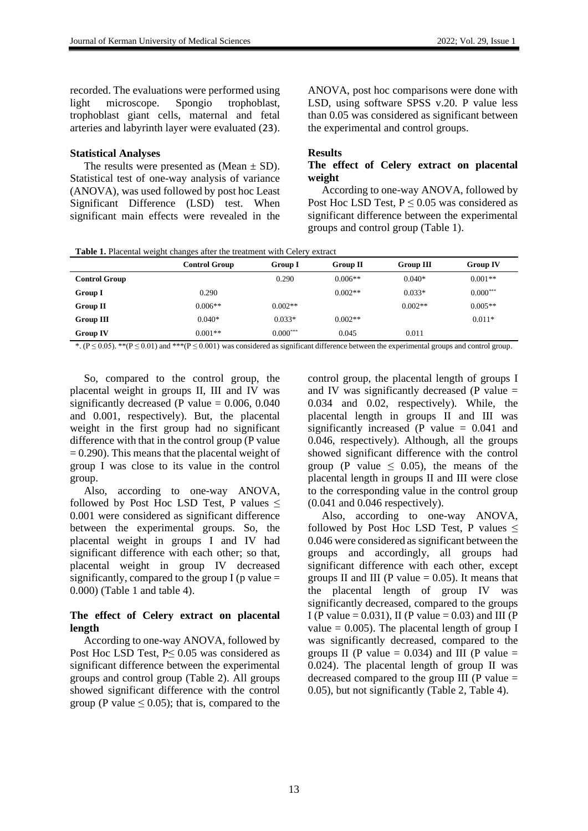recorded. The evaluations were performed using light microscope. Spongio trophoblast, trophoblast giant cells, maternal and fetal arteries and labyrinth layer were evaluated (23).

### **Statistical Analyses**

The results were presented as (Mean  $\pm$  SD). Statistical test of one-way analysis of variance (ANOVA), was used followed by post hoc Least Significant Difference (LSD) test. When significant main effects were revealed in the ANOVA, post hoc comparisons were done with LSD, using software SPSS v.20. P value less than 0.05 was considered as significant between the experimental and control groups.

### **Results**

### **The effect of Celery extract on placental weight**

According to one-way ANOVA, followed by Post Hoc LSD Test,  $P \le 0.05$  was considered as significant difference between the experimental groups and control group (Table 1).

**Table 1.** Placental weight changes after the treatment with Celery extract

|                      | <b>Control Group</b> | <b>Group I</b> | <b>Group II</b> | <b>Group III</b> | <b>Group IV</b> |
|----------------------|----------------------|----------------|-----------------|------------------|-----------------|
| <b>Control Group</b> |                      | 0.290          | $0.006**$       | $0.040*$         | $0.001**$       |
| Group I              | 0.290                |                | $0.002**$       | $0.033*$         | $0.000***$      |
| <b>Group II</b>      | $0.006**$            | $0.002**$      |                 | $0.002**$        | $0.005**$       |
| Group III            | $0.040*$             | $0.033*$       | $0.002**$       |                  | $0.011*$        |
| <b>Group IV</b>      | $0.001**$            | $0.000***$     | 0.045           | 0.011            |                 |

\*. ( $P \le 0.05$ ). \*\*( $P \le 0.01$ ) and \*\*\*( $P \le 0.001$ ) was considered as significant difference between the experimental groups and control group.

So, compared to the control group, the placental weight in groups II, III and IV was significantly decreased (P value  $= 0.006, 0.040$ and 0.001, respectively). But, the placental weight in the first group had no significant difference with that in the control group (P value  $= 0.290$ . This means that the placental weight of group I was close to its value in the control group.

Also, according to one-way ANOVA, followed by Post Hoc LSD Test, P values  $\leq$ 0.001 were considered as significant difference between the experimental groups. So, the placental weight in groups I and IV had significant difference with each other; so that, placental weight in group IV decreased significantly, compared to the group I (p value  $=$ 0.000) (Table 1 and table 4).

## **The effect of Celery extract on placental length**

According to one-way ANOVA, followed by Post Hoc LSD Test, P≤ 0.05 was considered as significant difference between the experimental groups and control group (Table 2). All groups showed significant difference with the control group (P value  $\leq$  0.05); that is, compared to the control group, the placental length of groups I and IV was significantly decreased (P value  $=$ 0.034 and 0.02, respectively). While, the placental length in groups II and III was significantly increased (P value  $= 0.041$  and 0.046, respectively). Although, all the groups showed significant difference with the control group (P value  $\leq$  0.05), the means of the placental length in groups II and III were close to the corresponding value in the control group (0.041 and 0.046 respectively).

Also, according to one-way ANOVA, followed by Post Hoc LSD Test, P values  $\leq$ 0.046 were considered as significant between the groups and accordingly, all groups had significant difference with each other, except groups II and III (P value  $= 0.05$ ). It means that the placental length of group IV was significantly decreased, compared to the groups I (P value = 0.031), II (P value = 0.03) and III (P value  $= 0.005$ ). The placental length of group I was significantly decreased, compared to the groups II (P value =  $0.034$ ) and III (P value = 0.024). The placental length of group II was decreased compared to the group III ( $P$  value  $=$ 0.05), but not significantly (Table 2, Table 4).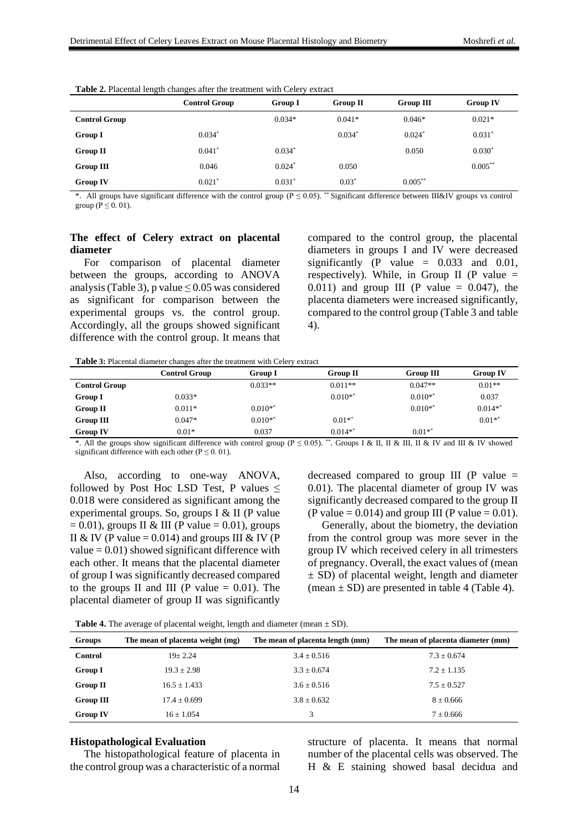|                      | <b>Control Group</b> | <b>Group I</b> | <b>Group II</b> | <b>Group III</b>     | <b>Group IV</b> |
|----------------------|----------------------|----------------|-----------------|----------------------|-----------------|
| <b>Control Group</b> |                      | $0.034*$       | $0.041*$        | $0.046*$             | $0.021*$        |
| <b>Group I</b>       | $0.034*$             |                | $0.034*$        | $0.024$ <sup>*</sup> | $0.031*$        |
| <b>Group II</b>      | $0.041*$             | $0.034*$       |                 | 0.050                | $0.030*$        |
| Group III            | 0.046                | $0.024*$       | 0.050           |                      | $0.005***$      |
| <b>Group IV</b>      | $0.021*$             | $0.031*$       | $0.03*$         | $0.005***$           |                 |

**Table 2.** Placental length changes after the treatment with Celery extraction

\*. All groups have significant difference with the control group (P ≤ 0.05). \*\* Significant difference between III&IV groups vs control group ( $P \le 0.01$ ).

### **The effect of Celery extract on placental diameter**

For comparison of placental diameter between the groups, according to ANOVA analysis (Table 3), p value  $\leq 0.05$  was considered as significant for comparison between the experimental groups vs. the control group. Accordingly, all the groups showed significant difference with the control group. It means that compared to the control group, the placental diameters in groups I and IV were decreased significantly (P value  $= 0.033$  and 0.01, respectively). While, in Group II (P value  $=$ 0.011) and group III (P value  $= 0.047$ ), the placenta diameters were increased significantly, compared to the control group (Table 3 and table 4).

**Table 3:** Placental diameter changes after the treatment with Celery extract

|                      | Control Group | <b>Group I</b> | <b>Group II</b> | <b>Group III</b> | <b>Group IV</b> |
|----------------------|---------------|----------------|-----------------|------------------|-----------------|
| <b>Control Group</b> |               | $0.033**$      | $0.011**$       | $0.047**$        | $0.01**$        |
| Group I              | $0.033*$      |                | $0.010**$       | $0.010**$        | 0.037           |
| Group II             | $0.011*$      | $0.010**$      |                 | $0.010**$        | $0.014**$       |
| Group III            | $0.047*$      | $0.010**$      | $0.01**$        |                  | $0.01**$        |
| <b>Group IV</b>      | $0.01*$       | 0.037          | $0.014**$       | $0.01**$         |                 |

\*. All the groups show significant difference with control group (P ≤ 0.05). \*\* . Groups I & II, II & III, II & IV and III & IV showed significant difference with each other ( $P \le 0.01$ ).

Also, according to one-way ANOVA, followed by Post Hoc LSD Test, P values  $\leq$ 0.018 were considered as significant among the experimental groups. So, groups I & II (P value  $= 0.01$ ), groups II & III (P value  $= 0.01$ ), groups II & IV (P value = 0.014) and groups III & IV (P value  $= 0.01$ ) showed significant difference with each other. It means that the placental diameter of group I was significantly decreased compared to the groups II and III (P value  $= 0.01$ ). The placental diameter of group II was significantly

decreased compared to group III (P value  $=$ 0.01). The placental diameter of group IV was significantly decreased compared to the group II (P value =  $0.014$ ) and group III (P value =  $0.01$ ).

Generally, about the biometry, the deviation from the control group was more sever in the group IV which received celery in all trimesters of pregnancy. Overall, the exact values of (mean  $\pm$  SD) of placental weight, length and diameter (mean  $\pm$  SD) are presented in table 4 (Table 4).

| <b>Table 4.</b> The average of placental weight, length and diameter (mean $\pm$ SD). |  |  |
|---------------------------------------------------------------------------------------|--|--|
|                                                                                       |  |  |

| <b>Groups</b>    | The mean of placenta weight (mg) | The mean of placenta length (mm) | The mean of placenta diameter (mm) |
|------------------|----------------------------------|----------------------------------|------------------------------------|
| <b>Control</b>   | $19 + 2.24$                      | $3.4 \pm 0.516$                  | $7.3 \pm 0.674$                    |
| <b>Group I</b>   | $19.3 + 2.98$                    | $3.3 \pm 0.674$                  | $7.2 \pm 1.135$                    |
| <b>Group II</b>  | $16.5 \pm 1.433$                 | $3.6 \pm 0.516$                  | $7.5 \pm 0.527$                    |
| <b>Group III</b> | $17.4 \pm 0.699$                 | $3.8 \pm 0.632$                  | $8 \pm 0.666$                      |
| <b>Group IV</b>  | $16 \pm 1.054$                   | 3                                | $7 \pm 0.666$                      |

#### **Histopathological Evaluation**

The histopathological feature of placenta in the control group was a characteristic of a normal

structure of placenta. It means that normal number of the placental cells was observed. The H & E staining showed basal decidua and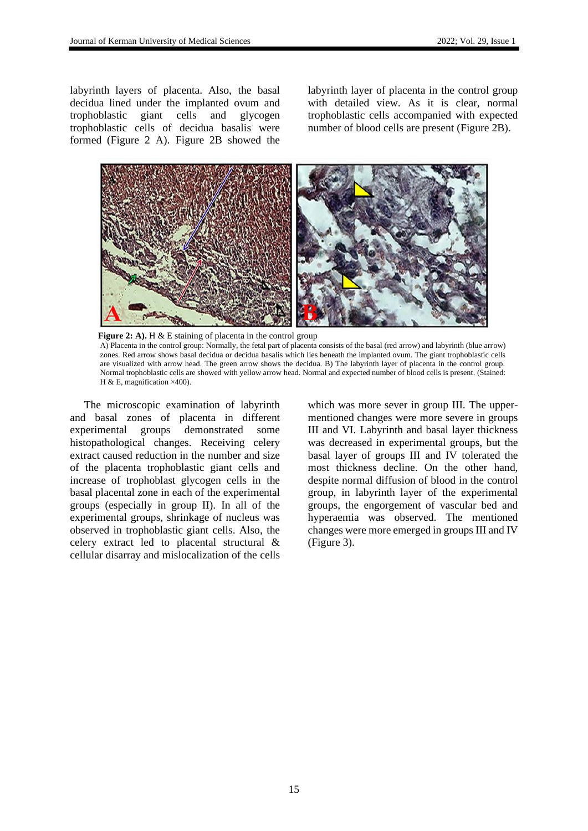labyrinth layers of placenta. Also, the basal decidua lined under the implanted ovum and trophoblastic giant cells and glycogen trophoblastic cells of decidua basalis were formed (Figure 2 A). Figure 2B showed the labyrinth layer of placenta in the control group with detailed view. As it is clear, normal trophoblastic cells accompanied with expected number of blood cells are present (Figure 2B).



**Figure 2: A).** H & E staining of placenta in the control group A) Placenta in the control group: Normally, the fetal part of placenta consists of the basal (red arrow) and labyrinth (blue arrow) zones. Red arrow shows basal decidua or decidua basalis which lies beneath the implanted ovum. The giant trophoblastic cells are visualized with arrow head. The green arrow shows the decidua. B) The labyrinth layer of placenta in the control group. Normal trophoblastic cells are showed with yellow arrow head. Normal and expected number of blood cells is present. (Stained: H & E, magnification ×400).

The microscopic examination of labyrinth and basal zones of placenta in different experimental groups demonstrated some histopathological changes. Receiving celery extract caused reduction in the number and size of the placenta trophoblastic giant cells and increase of trophoblast glycogen cells in the basal placental zone in each of the experimental groups (especially in group II). In all of the experimental groups, shrinkage of nucleus was observed in trophoblastic giant cells. Also, the celery extract led to placental structural & cellular disarray and mislocalization of the cells which was more sever in group III. The uppermentioned changes were more severe in groups III and VI. Labyrinth and basal layer thickness was decreased in experimental groups, but the basal layer of groups III and IV tolerated the most thickness decline. On the other hand, despite normal diffusion of blood in the control group, in labyrinth layer of the experimental groups, the engorgement of vascular bed and hyperaemia was observed. The mentioned changes were more emerged in groups III and IV (Figure 3).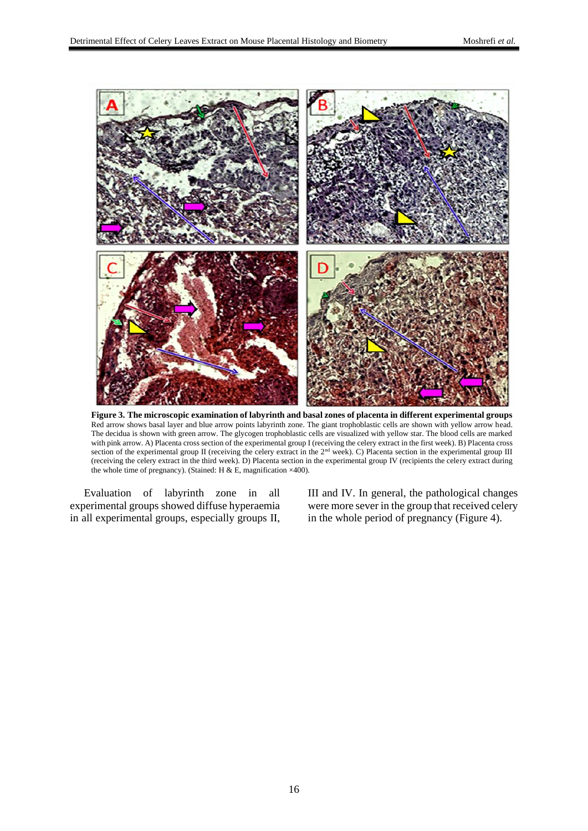

**Figure 3. The microscopic examination of labyrinth and basal zones of placenta in different experimental groups** Red arrow shows basal layer and blue arrow points labyrinth zone. The giant trophoblastic cells are shown with yellow arrow head. The decidua is shown with green arrow. The glycogen trophoblastic cells are visualized with yellow star. The blood cells are marked with pink arrow. A) Placenta cross section of the experimental group I (receiving the celery extract in the first week). B) Placenta cross section of the experimental group II (receiving the celery extract in the 2<sup>nd</sup> week). C) Placenta section in the experimental group III (receiving the celery extract in the third week). D) Placenta section in the experimental group IV (recipients the celery extract during the whole time of pregnancy). (Stained: H & E, magnification  $\times$  400).

Evaluation of labyrinth zone in all experimental groups showed diffuse hyperaemia in all experimental groups, especially groups II, III and IV. In general, the pathological changes were more sever in the group that received celery in the whole period of pregnancy (Figure 4).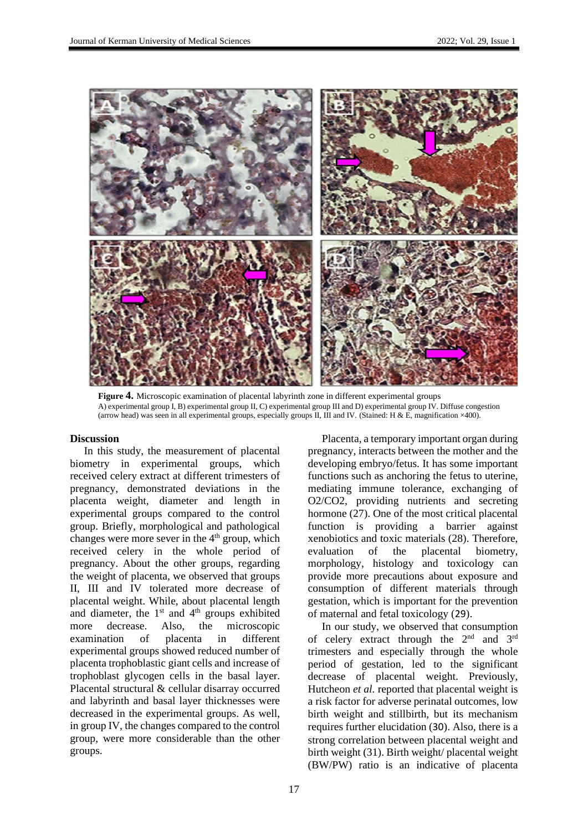

**Figure 4.** Microscopic examination of placental labyrinth zone in different experimental groups A) experimental group I, B) experimental group II, C) experimental group III and D) experimental group IV. Diffuse congestion (arrow head) was seen in all experimental groups, especially groups II, III and IV. (Stained: H & E, magnification ×400).

#### **Discussion**

In this study, the measurement of placental biometry in experimental groups, which received celery extract at different trimesters of pregnancy, demonstrated deviations in the placenta weight, diameter and length in experimental groups compared to the control group. Briefly, morphological and pathological changes were more sever in the 4<sup>th</sup> group, which received celery in the whole period of pregnancy. About the other groups, regarding the weight of placenta, we observed that groups II, III and IV tolerated more decrease of placental weight. While, about placental length and diameter, the  $1<sup>st</sup>$  and  $4<sup>th</sup>$  groups exhibited more decrease. Also, the microscopic examination of placenta in different experimental groups showed reduced number of placenta trophoblastic giant cells and increase of trophoblast glycogen cells in the basal layer. Placental structural & cellular disarray occurred and labyrinth and basal layer thicknesses were decreased in the experimental groups. As well, in group IV, the changes compared to the control group, were more considerable than the other groups.

Placenta, a temporary important organ during pregnancy, interacts between the mother and the developing embryo/fetus. It has some important functions such as anchoring the fetus to uterine, mediating immune tolerance, exchanging of O2/CO2, providing nutrients and secreting hormone [\(27](#page-11-11)). One of the most critical placental function is providing a barrier against xenobiotics and toxic materials [\(28](#page-11-12)). Therefore, evaluation of the placental biometry, morphology, histology and toxicology can provide more precautions about exposure and consumption of different materials through gestation, which is important for the prevention of maternal and fetal toxicology (29).

In our study, we observed that consumption of celery extract through the  $2<sup>nd</sup>$  and  $3<sup>rd</sup>$ trimesters and especially through the whole period of gestation, led to the significant decrease of placental weight. Previously, Hutcheon *et al.* reported that placental weight is a risk factor for adverse perinatal outcomes, low birth weight and stillbirth, but its mechanism requires further elucidation (30). Also, there is a strong correlation between placental weight and birth weight [\(31](#page-11-13)). Birth weight/ placental weight (BW/PW) ratio is an indicative of placenta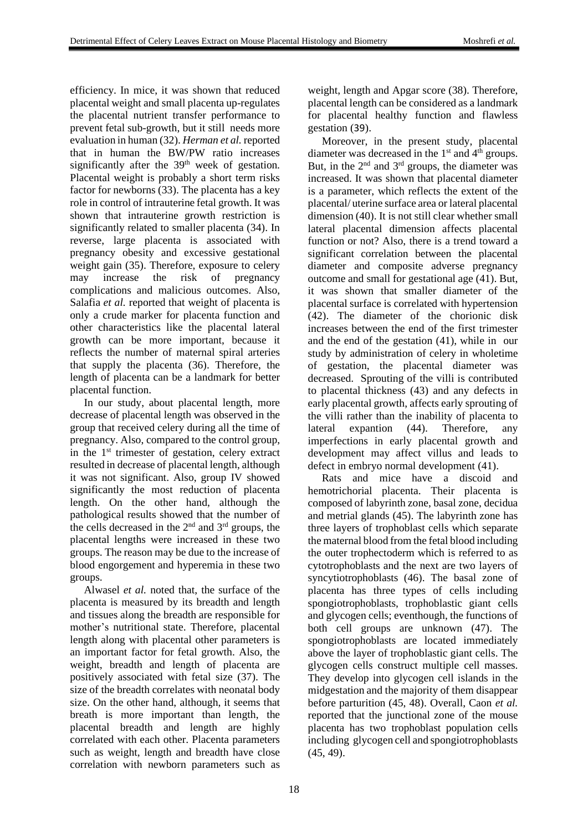efficiency. In mice, it was shown that reduced placental weight and small placenta up-regulates the placental nutrient transfer performance to prevent fetal sub-growth, but it still needs more evaluation in human [\(32](#page-11-14)). *Herman et al.* reported that in human the BW/PW ratio increases significantly after the  $39<sup>th</sup>$  week of gestation. Placental weight is probably a short term risks factor for newborns [\(33](#page-11-15)). The placenta has a key role in control of intrauterine fetal growth. It was shown that intrauterine growth restriction is significantly related to smaller placenta [\(34](#page-11-16)). In reverse, large placenta is associated with pregnancy obesity and excessive gestational weight gain [\(35](#page-11-17)). Therefore, exposure to celery may increase the risk of pregnancy complications and malicious outcomes. Also, Salafia *et al.* reported that weight of placenta is only a crude marker for placenta function and other characteristics like the placental lateral growth can be more important, because it reflects the number of maternal spiral arteries that supply the placenta [\(36](#page-12-0)). Therefore, the length of placenta can be a landmark for better placental function.

In our study, about placental length, more decrease of placental length was observed in the group that received celery during all the time of pregnancy. Also, compared to the control group, in the 1<sup>st</sup> trimester of gestation, celery extract resulted in decrease of placental length, although it was not significant. Also, group IV showed significantly the most reduction of placenta length. On the other hand, although the pathological results showed that the number of the cells decreased in the  $2<sup>nd</sup>$  and  $3<sup>rd</sup>$  groups, the placental lengths were increased in these two groups. The reason may be due to the increase of blood engorgement and hyperemia in these two groups.

Alwasel *et al.* noted that, the surface of the placenta is measured by its breadth and length and tissues along the breadth are responsible for mother's nutritional state. Therefore, placental length along with placental other parameters is an important factor for fetal growth. Also, the weight, breadth and length of placenta are positively associated with fetal size [\(37](#page-12-1)). The size of the breadth correlates with neonatal body size. On the other hand, although, it seems that breath is more important than length, the placental breadth and length are highly correlated with each other. Placenta parameters such as weight, length and breadth have close correlation with newborn parameters such as

weight, length and Apgar score [\(38](#page-12-2)). Therefore, placental length can be considered as a landmark for placental healthy function and flawless gestation (39).

Moreover, in the present study, placental diameter was decreased in the  $1<sup>st</sup>$  and  $4<sup>th</sup>$  groups. But, in the  $2<sup>nd</sup>$  and  $3<sup>rd</sup>$  groups, the diameter was increased. It was shown that placental diameter is a parameter, which reflects the extent of the placental/ uterine surface area or lateral placental dimension [\(40\)](#page-12-3). It is not still clear whether small lateral placental dimension affects placental function or not? Also, there is a trend toward a significant correlation between the placental diameter and composite adverse pregnancy outcome and small for gestational age [\(41\)](#page-12-4). But, it was shown that smaller diameter of the placental surface is correlated with hypertension [\(42\)](#page-12-5). The diameter of the chorionic disk increases between the end of the first trimester and the end of the gestation [\(41\)](#page-12-4), while in our study by administration of celery in wholetime of gestation, the placental diameter was decreased. Sprouting of the villi is contributed to placental thickness [\(43\)](#page-12-6) and any defects in early placental growth, affects early sprouting of the villi rather than the inability of placenta to lateral expantion [\(44\)](#page-12-7). Therefore, any imperfections in early placental growth and development may affect villus and leads to defect in embryo normal development [\(41\)](#page-12-4).

Rats and mice have a discoid and hemotrichorial placenta. Their placenta is composed of labyrinth zone, basal zone, decidua and metrial glands [\(45\)](#page-12-8). The labyrinth zone has three layers of trophoblast cells which separate the maternal blood from the fetal blood including the outer trophectoderm which is referred to as cytotrophoblasts and the next are two layers of syncytiotrophoblasts [\(46\)](#page-12-9). The basal zone of placenta has three types of cells including spongiotrophoblasts, trophoblastic giant cells and glycogen cells; eventhough, the functions of both cell groups are unknown [\(47\)](#page-12-10). The spongiotrophoblasts are located immediately above the layer of trophoblastic giant cells. The glycogen cells construct multiple cell masses. They develop into glycogen cell islands in the midgestation and the majority of them disappear before parturition [\(45,](#page-12-8) [48\)](#page-12-11). Overall, Caon *et al.* reported that the junctional zone of the mouse placenta has two trophoblast population cells including glycogen cell and spongiotrophoblasts [\(45,](#page-12-8) [49\)](#page-12-12).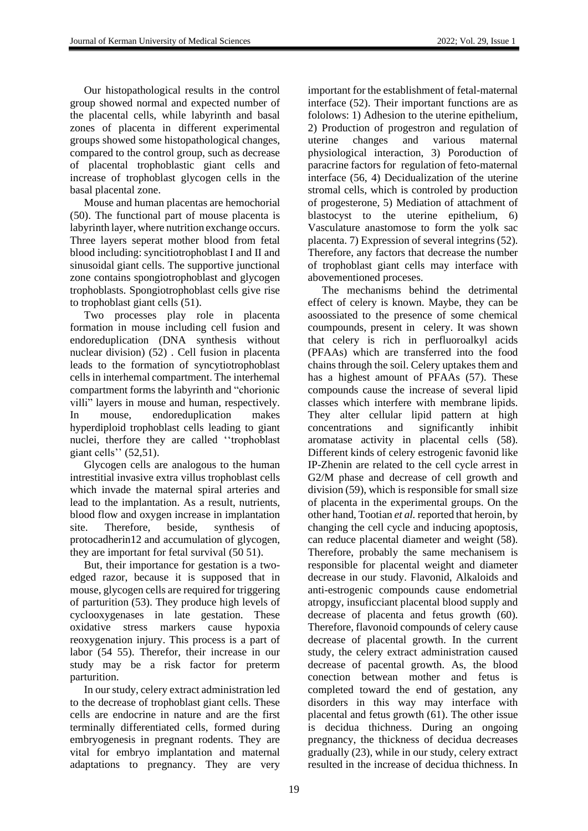Our histopathological results in the control group showed normal and expected number of the placental cells, while labyrinth and basal zones of placenta in different experimental groups showed some histopathological changes, compared to the control group, such as decrease of placental trophoblastic giant cells and increase of trophoblast glycogen cells in the basal placental zone.

Mouse and human placentas are hemochorial [\(50\)](#page-12-13). The functional part of mouse placenta is labyrinth layer, where nutrition exchange occurs. Three layers seperat mother blood from fetal blood including: syncitiotrophoblast I and II and sinusoidal giant cells. The supportive junctional zone contains spongiotrophoblast and glycogen trophoblasts. Spongiotrophoblast cells give rise to trophoblast giant cells [\(51\)](#page-12-14).

Two processes play role in placenta formation in mouse including cell fusion and endoreduplication (DNA synthesis without nuclear division) [\(52\)](#page-12-15) . Cell fusion in placenta leads to the formation of syncytiotrophoblast cells in interhemal compartment. The interhemal compartment forms the labyrinth and "chorionic villi" layers in mouse and human, respectively. In mouse, endoreduplication makes hyperdiploid trophoblast cells leading to giant nuclei, therfore they are called ''trophoblast giant cells'' [\(52](#page-12-15)[,51\)](#page-12-14).

Glycogen cells are analogous to the human intrestitial invasive extra villus trophoblast cells which invade the maternal spiral arteries and lead to the implantation. As a result, nutrients, blood flow and oxygen increase in implantation site. Therefore, beside, synthesis of protocadherin12 and accumulation of glycogen, they are important for fetal survival [\(50](#page-12-13) [51\)](#page-12-14).

But, their importance for gestation is a twoedged razor, because it is supposed that in mouse, glycogen cells are required for triggering of parturition [\(53\)](#page-12-16). They produce high levels of cyclooxygenases in late gestation. These oxidative stress markers cause hypoxia reoxygenation injury. This process is a part of labor [\(54](#page-12-17) [55\)](#page-12-18). Therefor, their increase in our study may be a risk factor for preterm parturition.

In our study, celery extract administration led to the decrease of trophoblast giant cells. These cells are endocrine in nature and are the first terminally differentiated cells, formed during embryogenesis in pregnant rodents. They are vital for embryo implantation and maternal adaptations to pregnancy. They are very

important for the establishment of fetal-maternal interface [\(52\)](#page-12-15). Their important functions are as fololows: 1) Adhesion to the uterine epithelium, 2) Production of progestron and regulation of uterine changes and various maternal physiological interaction, 3) Poroduction of paracrine factors for regulation of feto-maternal interface [\(56,](#page-12-19) 4) Decidualization of the uterine stromal cells, which is controled by production of progesterone, 5) Mediation of attachment of blastocyst to the uterine epithelium, 6) Vasculature anastomose to form the yolk sac placenta. 7) Expression of several integrins [\(52\)](#page-12-15). Therefore, any factors that decrease the number of trophoblast giant cells may interface with abovementioned proceses.

The mechanisms behind the detrimental effect of celery is known. Maybe, they can be asoossiated to the presence of some chemical coumpounds, present in celery. It was shown that celery is rich in perfluoroalkyl acids (PFAAs) which are transferred into the food chains through the soil. Celery uptakes them and has a highest amount of PFAAs [\(57\)](#page-12-20). These compounds cause the increase of several lipid classes which interfere with membrane lipids. They alter cellular lipid pattern at high concentrations and significantly inhibit aromatase activity in placental cells [\(58\)](#page-13-0). Different kinds of celery estrogenic favonid like IP-Zhenin are related to the cell cycle arrest in G2/M phase and decrease of cell growth and division [\(59\)](#page-13-1), which is responsible for small size of placenta in the experimental groups. On the other hand, Tootian *et al.* reported that heroin, by changing the cell cycle and inducing apoptosis, can reduce placental diameter and weight [\(58\)](#page-13-0). Therefore, probably the same mechanisem is responsible for placental weight and diameter decrease in our study. Flavonid, Alkaloids and anti-estrogenic compounds cause endometrial atropgy, insuficciant placental blood supply and decrease of placenta and fetus growth [\(60\)](#page-13-2). Therefore, flavonoid compounds of celery cause decrease of placental growth. In the current study, the celery extract administration caused decrease of pacental growth. As, the blood conection betwean mother and fetus is completed toward the end of gestation, any disorders in this way may interface with placental and fetus growth [\(61\)](#page-13-3). The other issue is decidua thichness. During an ongoing pregnancy, the thickness of decidua decreases gradually [\(23\)](#page-11-18), while in our study, celery extract resulted in the increase of decidua thichness. In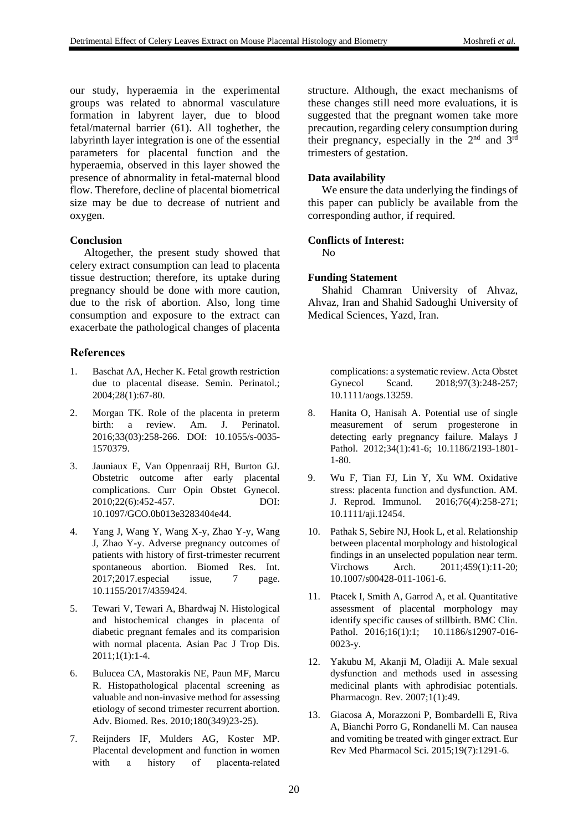our study, hyperaemia in the experimental groups was related to abnormal vasculature formation in labyrent layer, due to blood fetal/maternal barrier [\(61\)](#page-13-3). All toghether, the labyrinth layer integration is one of the essential parameters for placental function and the hyperaemia, observed in this layer showed the presence of abnormality in fetal-maternal blood flow. Therefore, decline of placental biometrical size may be due to decrease of nutrient and oxygen.

### **Conclusion**

Altogether, the present study showed that celery extract consumption can lead to placenta tissue destruction; therefore, its uptake during pregnancy should be done with more caution, due to the risk of abortion. Also, long time consumption and exposure to the extract can exacerbate the pathological changes of placenta

### **References**

- <span id="page-10-0"></span>1. Baschat AA, Hecher K. Fetal growth restriction due to placental disease. Semin. Perinatol.; 2004;28(1):67-80.
- <span id="page-10-1"></span>2. Morgan TK. Role of the placenta in preterm birth: a review. Am. J. Perinatol. 2016;33(03):258-266. DOI: 10.1055/s-0035- 1570379.
- <span id="page-10-2"></span>3. Jauniaux E, Van Oppenraaij RH, Burton GJ. Obstetric outcome after early placental complications. Curr Opin Obstet Gynecol. 2010;22(6):452-457. DOI: 10.1097/GCO.0b013e3283404e44.
- <span id="page-10-3"></span>4. Yang J, Wang Y, Wang X-y, Zhao Y-y, Wang J, Zhao Y-y. Adverse pregnancy outcomes of patients with history of first-trimester recurrent spontaneous abortion. Biomed Res. Int. 2017;2017.especial issue, 7 page. 10.1155/2017/4359424.
- <span id="page-10-4"></span>5. Tewari V, Tewari A, Bhardwaj N. Histological and histochemical changes in placenta of diabetic pregnant females and its comparision with normal placenta. Asian Pac J Trop Dis. 2011;1(1):1-4.
- <span id="page-10-5"></span>6. Bulucea CA, Mastorakis NE, Paun MF, Marcu R. Histopathological placental screening as valuable and non-invasive method for assessing etiology of second trimester recurrent abortion. Adv. Biomed. Res. 2010;180(349)23-25).
- <span id="page-10-6"></span>7. Reijnders IF, Mulders AG, Koster MP. Placental development and function in women with a history of placenta-related

structure. Although, the exact mechanisms of these changes still need more evaluations, it is suggested that the pregnant women take more precaution, regarding celery consumption during their pregnancy, especially in the  $2<sup>nd</sup>$  and  $3<sup>rd</sup>$ trimesters of gestation.

### **Data availability**

We ensure the data underlying the findings of this paper can publicly be available from the corresponding author, if required.

### **Conflicts of Interest:**

No

### **Funding Statement**

Shahid Chamran University of Ahvaz, Ahvaz, Iran and Shahid Sadoughi University of Medical Sciences, Yazd, Iran.

complications: a systematic review. Acta Obstet Gynecol Scand. 2018;97(3):248-257; 10.1111/aogs.13259.

- <span id="page-10-7"></span>8. Hanita O, Hanisah A. Potential use of single measurement of serum progesterone in detecting early pregnancy failure. Malays J Pathol. 2012;34(1):41-6; 10.1186/2193-1801- 1-80.
- <span id="page-10-8"></span>9. Wu F, Tian FJ, Lin Y, Xu WM. Oxidative stress: placenta function and dysfunction. AM. J. Reprod. Immunol. 2016;76(4):258-271; 10.1111/aji.12454.
- <span id="page-10-9"></span>10. Pathak S, Sebire NJ, Hook L, et al. Relationship between placental morphology and histological findings in an unselected population near term. Virchows Arch. 2011;459(1):11-20; 10.1007/s00428-011-1061-6.
- <span id="page-10-10"></span>11. Ptacek I, Smith A, Garrod A, et al. Quantitative assessment of placental morphology may identify specific causes of stillbirth. BMC Clin. Pathol. 2016;16(1):1; 10.1186/s12907-016-0023-y.
- <span id="page-10-11"></span>12. Yakubu M, Akanji M, Oladiji A. Male sexual dysfunction and methods used in assessing medicinal plants with aphrodisiac potentials. Pharmacogn. Rev. 2007;1(1):49.
- <span id="page-10-12"></span>13. Giacosa A, Morazzoni P, Bombardelli E, Riva A, Bianchi Porro G, Rondanelli M. Can nausea and vomiting be treated with ginger extract. Eur Rev Med Pharmacol Sci. 2015;19(7):1291-6.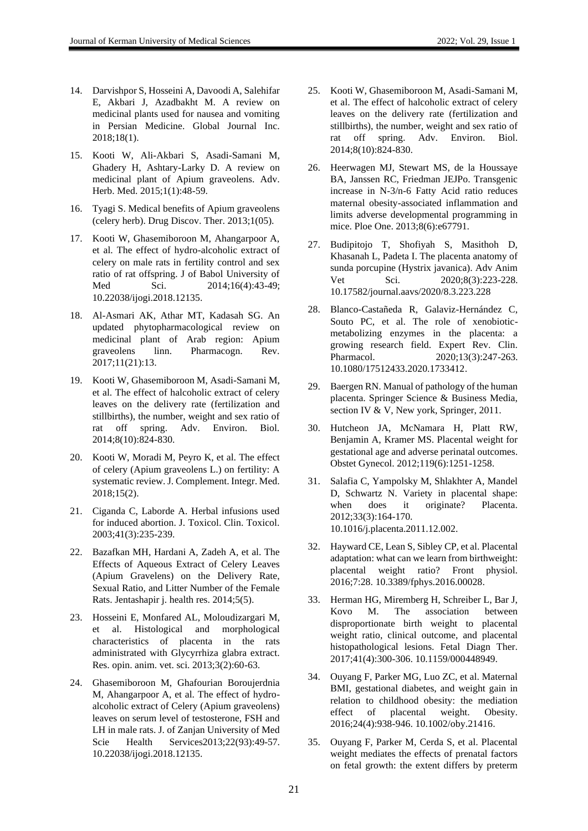- <span id="page-11-0"></span>14. Darvishpor S, Hosseini A, Davoodi A, Salehifar E, Akbari J, Azadbakht M. A review on medicinal plants used for nausea and vomiting in Persian Medicine. Global Journal Inc. 2018;18(1).
- <span id="page-11-1"></span>15. Kooti W, Ali-Akbari S, Asadi-Samani M, Ghadery H, Ashtary-Larky D. A review on medicinal plant of Apium graveolens. Adv. Herb. Med. 2015;1(1):48-59.
- <span id="page-11-2"></span>16. Tyagi S. Medical benefits of Apium graveolens (celery herb). Drug Discov. Ther. 2013;1(05).
- <span id="page-11-3"></span>17. Kooti W, Ghasemiboroon M, Ahangarpoor A, et al. The effect of hydro-alcoholic extract of celery on male rats in fertility control and sex ratio of rat offspring. J of Babol University of Med Sci. 2014;16(4):43-49; 10.22038/ijogi.2018.12135.
- <span id="page-11-4"></span>18. Al-Asmari AK, Athar MT, Kadasah SG. An updated phytopharmacological review on medicinal plant of Arab region: Apium graveolens linn. Pharmacogn. Rev. 2017;11(21):13.
- <span id="page-11-5"></span>19. Kooti W, Ghasemiboroon M, Asadi-Samani M, et al. The effect of halcoholic extract of celery leaves on the delivery rate (fertilization and stillbirths), the number, weight and sex ratio of rat off spring. Adv. Environ. Biol. 2014;8(10):824-830.
- <span id="page-11-6"></span>20. Kooti W, Moradi M, Peyro K, et al. The effect of celery (Apium graveolens L.) on fertility: A systematic review. J. Complement. Integr. Med. 2018;15(2).
- <span id="page-11-7"></span>21. Ciganda C, Laborde A. Herbal infusions used for induced abortion. J. Toxicol. Clin. Toxicol. 2003;41(3):235-239.
- <span id="page-11-8"></span>22. Bazafkan MH, Hardani A, Zadeh A, et al. The Effects of Aqueous Extract of Celery Leaves (Apium Gravelens) on the Delivery Rate, Sexual Ratio, and Litter Number of the Female Rats. Jentashapir j. health res. 2014;5(5).
- <span id="page-11-18"></span>23. Hosseini E, Monfared AL, Moloudizargari M, et al. Histological and morphological characteristics of placenta in the rats administrated with Glycyrrhiza glabra extract. Res. opin. anim. vet. sci. 2013;3(2):60-63.
- 24. Ghasemiboroon M, Ghafourian Boroujerdnia M, Ahangarpoor A, et al. The effect of hydroalcoholic extract of Celery (Apium graveolens) leaves on serum level of testosterone, FSH and LH in male rats. J. of Zanjan University of Med Scie Health Services 2013; 22(93): 49-57. 10.22038/ijogi.2018.12135.
- <span id="page-11-9"></span>25. Kooti W, Ghasemiboroon M, Asadi-Samani M, et al. The effect of halcoholic extract of celery leaves on the delivery rate (fertilization and stillbirths), the number, weight and sex ratio of rat off spring. Adv. Environ. Biol. 2014;8(10):824-830.
- <span id="page-11-10"></span>26. Heerwagen MJ, Stewart MS, de la Houssaye BA, Janssen RC, Friedman JEJPo. Transgenic increase in N-3/n-6 Fatty Acid ratio reduces maternal obesity-associated inflammation and limits adverse developmental programming in mice. Ploe One. 2013;8(6):e67791.
- <span id="page-11-11"></span>27. Budipitojo T, Shofiyah S, Masithoh D, Khasanah L, Padeta I. The placenta anatomy of sunda porcupine (Hystrix javanica). Adv Anim Vet Sci. 2020;8(3):223-228. [10.17582/journal.aavs/2020/8.3.223.228](http://dx.doi.org/10.17582/journal.aavs/2020/8.3.223.228)
- <span id="page-11-12"></span>28. Blanco-Castañeda R, Galaviz-Hernández C, Souto PC, et al. The role of xenobioticmetabolizing enzymes in the placenta: a growing research field. Expert Rev. Clin. Pharmacol. 2020;13(3):247-263. [10.1080/17512433.2020.1733412.](https://doi.org/10.1080/17512433.2020.1733412)
- 29. Baergen RN. Manual of pathology of the human placenta. Springer Science & Business Media, section IV & V, New york, Springer, 2011.
- 30. Hutcheon JA, McNamara H, Platt RW, Benjamin A, Kramer MS. Placental weight for gestational age and adverse perinatal outcomes. Obstet Gynecol. 2012;119(6):1251-1258.
- <span id="page-11-13"></span>31. Salafia C, Yampolsky M, Shlakhter A, Mandel D, Schwartz N. Variety in placental shape: when does it originate? Placenta. 2012;33(3):164-170. 10.1016/j.placenta.2011.12.002.
- <span id="page-11-14"></span>32. Hayward CE, Lean S, Sibley CP, et al. Placental adaptation: what can we learn from birthweight: placental weight ratio? Front physiol. 2016;7:28. [10.3389/fphys.2016.00028.](https://doi.org/10.3389/fphys.2016.00028)
- <span id="page-11-15"></span>33. Herman HG, Miremberg H, Schreiber L, Bar J, Kovo M. The association between disproportionate birth weight to placental weight ratio, clinical outcome, and placental histopathological lesions. Fetal Diagn Ther. 2017;41(4):300-306. 10.1159/000448949.
- <span id="page-11-16"></span>34. Ouyang F, Parker MG, Luo ZC, et al. Maternal BMI, gestational diabetes, and weight gain in relation to childhood obesity: the mediation effect of placental weight. Obesity. 2016;24(4):938-946[. 10.1002/oby.21416.](https://doi.org/10.1002/oby.21416)
- <span id="page-11-17"></span>35. Ouyang F, Parker M, Cerda S, et al. Placental weight mediates the effects of prenatal factors on fetal growth: the extent differs by preterm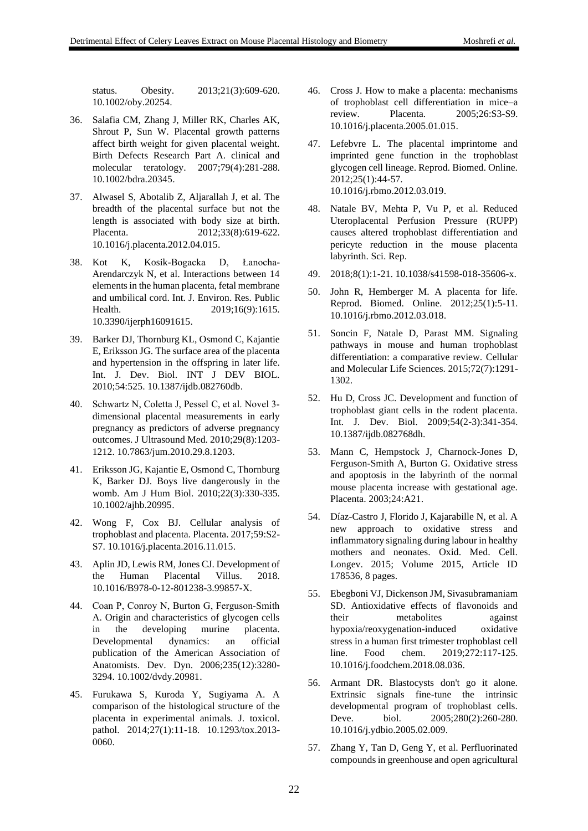status. Obesity. 2013;21(3):609-620. [10.1002/oby.20254.](https://doi.org/10.1002/oby.20254)

- <span id="page-12-0"></span>36. Salafia CM, Zhang J, Miller RK, Charles AK, Shrout P, Sun W. Placental growth patterns affect birth weight for given placental weight. Birth Defects Research Part A. clinical and molecular teratology. 2007;79(4):281-288. [10.1002/bdra.20345.](https://doi.org/10.1002/bdra.20345)
- <span id="page-12-1"></span>37. Alwasel S, Abotalib Z, Aljarallah J, et al. The breadth of the placental surface but not the length is associated with body size at birth. Placenta. 2012;33(8):619-622. [10.1016/j.placenta.2012.04.015.](https://doi.org/10.1016/j.placenta.2012.04.015)
- <span id="page-12-2"></span>38. Kot K, Kosik-Bogacka D, Łanocha-Arendarczyk N, et al. Interactions between 14 elements in the human placenta, fetal membrane and umbilical cord. Int. J. Environ. Res. Public Health. 2019;16(9):1615. [10.3390/ijerph16091615.](https://doi.org/10.3390/ijerph16091615)
- <span id="page-12-3"></span>39. Barker DJ, Thornburg KL, Osmond C, Kajantie E, Eriksson JG. The surface area of the placenta and hypertension in the offspring in later life. Int. J. Dev. Biol. INT J DEV BIOL. 2010;54:525. [10.1387/ijdb.082760db.](https://dx.doi.org/10.1387%2Fijdb.082760db)
- <span id="page-12-4"></span>40. Schwartz N, Coletta J, Pessel C, et al. Novel 3‐ dimensional placental measurements in early pregnancy as predictors of adverse pregnancy outcomes. J Ultrasound Med. 2010;29(8):1203- 1212[. 10.7863/jum.2010.29.8.1203.](https://doi.org/10.7863/jum.2010.29.8.1203)
- <span id="page-12-5"></span>41. Eriksson JG, Kajantie E, Osmond C, Thornburg K, Barker DJ. Boys live dangerously in the womb. Am J Hum Biol. 2010;22(3):330-335. [10.1002/ajhb.20995.](https://doi.org/10.1002/ajhb.20995)
- <span id="page-12-6"></span>42. Wong F, Cox BJ. Cellular analysis of trophoblast and placenta. Placenta. 2017;59:S2- S7. [10.1016/j.placenta.2016.11.015.](https://doi.org/10.1016/j.placenta.2016.11.015)
- <span id="page-12-7"></span>43. Aplin JD, Lewis RM, Jones CJ. Development of the Human Placental Villus. 2018. [10.1016/B978-0-12-801238-3.99857-X.](http://dx.doi.org/10.1016/B978-0-12-801238-3.99857-X)
- <span id="page-12-8"></span>44. Coan P, Conroy N, Burton G, Ferguson‐Smith A. Origin and characteristics of glycogen cells in the developing murine placenta. Developmental dynamics: an official publication of the American Association of Anatomists. Dev. Dyn. 2006;235(12):3280- 3294[. 10.1002/dvdy.20981.](https://doi.org/10.1002/dvdy.20981)
- <span id="page-12-9"></span>45. Furukawa S, Kuroda Y, Sugiyama A. A comparison of the histological structure of the placenta in experimental animals. J. toxicol. pathol. 2014;27(1):11-18. [10.1293/tox.2013-](https://doi.org/10.1293/tox.2013-0060) [0060.](https://doi.org/10.1293/tox.2013-0060)
- <span id="page-12-10"></span>46. Cross J. How to make a placenta: mechanisms of trophoblast cell differentiation in mice–a review. Placenta. 2005;26:S3-S9. [10.1016/j.placenta.2005.01.015.](https://doi.org/10.1016/j.placenta.2005.01.015)
- <span id="page-12-11"></span>47. Lefebvre L. The placental imprintome and imprinted gene function in the trophoblast glycogen cell lineage. Reprod. Biomed. Online. 2012;25(1):44-57. [10.1016/j.rbmo.2012.03.019.](https://doi.org/10.1016/j.rbmo.2012.03.019)
- <span id="page-12-12"></span>48. Natale BV, Mehta P, Vu P, et al. Reduced Uteroplacental Perfusion Pressure (RUPP) causes altered trophoblast differentiation and pericyte reduction in the mouse placenta labyrinth. Sci. Rep.
- 49. 2018;8(1):1-21. 10.1038/s41598-018-35606-x.
- <span id="page-12-13"></span>50. John R, Hemberger M. A placenta for life. Reprod. Biomed. Online. 2012;25(1):5-11. [10.1016/j.rbmo.2012.03.018.](https://doi.org/10.1016/j.rbmo.2012.03.018)
- <span id="page-12-14"></span>51. Soncin F, Natale D, Parast MM. Signaling pathways in mouse and human trophoblast differentiation: a comparative review. Cellular and Molecular Life Sciences. 2015;72(7):1291- 1302.
- <span id="page-12-15"></span>52. Hu D, Cross JC. Development and function of trophoblast giant cells in the rodent placenta. Int. J. Dev. Biol. 2009;54(2-3):341-354. 10.1387/ijdb.082768dh.
- <span id="page-12-16"></span>53. Mann C, Hempstock J, Charnock-Jones D, Ferguson-Smith A, Burton G. Oxidative stress and apoptosis in the labyrinth of the normal mouse placenta increase with gestational age. Placenta. 2003;24:A21.
- <span id="page-12-17"></span>54. Díaz-Castro J, Florido J, Kajarabille N, et al. A new approach to oxidative stress and inflammatory signaling during labour in healthy mothers and neonates. Oxid. Med. Cell. Longev. 2015; Volume 2015, Article ID 178536, 8 pages.
- <span id="page-12-18"></span>55. Ebegboni VJ, Dickenson JM, Sivasubramaniam SD. Antioxidative effects of flavonoids and their metabolites against hypoxia/reoxygenation-induced oxidative stress in a human first trimester trophoblast cell line. Food chem. 2019;272:117-125. [10.1016/j.foodchem.2018.08.036.](https://doi.org/10.1016/j.foodchem.2018.08.036)
- <span id="page-12-19"></span>56. Armant DR. Blastocysts don't go it alone. Extrinsic signals fine-tune the intrinsic developmental program of trophoblast cells. Deve. biol. 2005;280(2):260-280. [10.1016/j.ydbio.2005.02.009.](https://doi.org/10.1016/j.ydbio.2005.02.009)
- <span id="page-12-20"></span>57. Zhang Y, Tan D, Geng Y, et al. Perfluorinated compounds in greenhouse and open agricultural